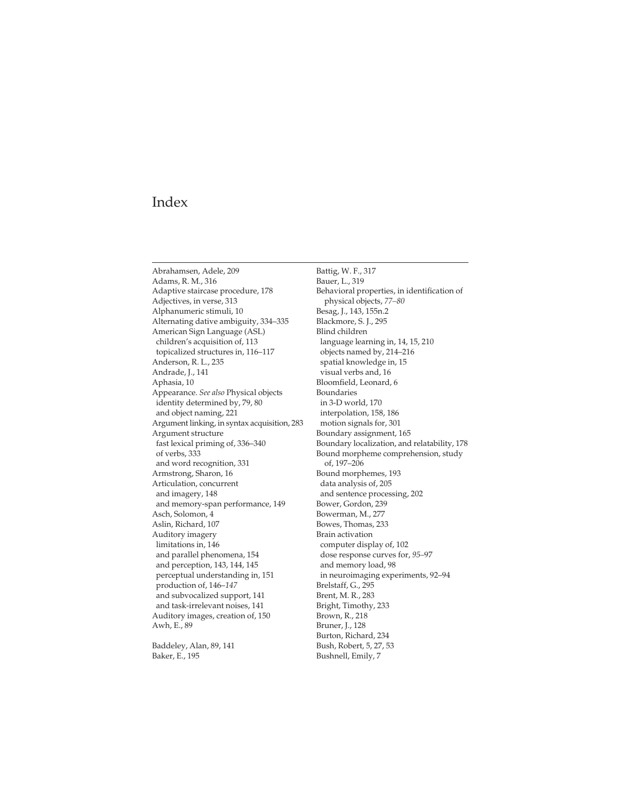Abrahamsen, Adele, 209 Adams, R. M., 316 Adaptive staircase procedure, 178 Adjectives, in verse, 313 Alphanumeric stimuli, 10 Alternating dative ambiguity, 334–335 American Sign Language (ASL) children's acquisition of, 113 topicalized structures in, 116–117 Anderson, R. L., 235 Andrade, J., 141 Aphasia, 10 Appearance. *See also* Physical objects identity determined by, 79, 80 and object naming, 221 Argument linking, in syntax acquisition, 283 Argument structure fast lexical priming of, 336–340 of verbs, 333 and word recognition, 331 Armstrong, Sharon, 16 Articulation, concurrent and imagery, 148 and memory-span performance, 149 Asch, Solomon, 4 Aslin, Richard, 107 Auditory imagery limitations in, 146 and parallel phenomena, 154 and perception, 143, 144, 145 perceptual understanding in, 151 production of, 146–*147* and subvocalized support, 141 and task-irrelevant noises, 141 Auditory images, creation of, 150 Awh, E., 89

Baddeley, Alan, 89, 141 Baker, E., 195

Battig, W. F., 317 Bauer, L., 319 Behavioral properties, in identification of physical objects, *77–80* Besag, J., 143, 155n.2 Blackmore, S. J., 295 Blind children language learning in, 14, 15, 210 objects named by, 214–216 spatial knowledge in, 15 visual verbs and, 16 Bloomfield, Leonard, 6 Boundaries in 3-D world, 170 interpolation, 158, 186 motion signals for, 301 Boundary assignment, 165 [Boundary localization, and relatability, 178](#page--1-0) Bound morpheme comprehension, study of, 197–206 Bound morphemes, 193 data analysis of, 205 and sentence processing, 202 Bower, Gordon, 239 Bowerman, M., 277 Bowes, Thomas, 233 Brain activation computer display of, 102 dose response curves for, *95–*97 and memory load, 98 in neuroimaging experiments, 92–94 Brelstaff, G., 295 Brent, M. R., 283 Bright, Timothy, 233 Brown, R., 218 Bruner, J., 128 Burton, Richard, 234 Bush, Robert, 5, 27, 53 Bushnell, Emily, 7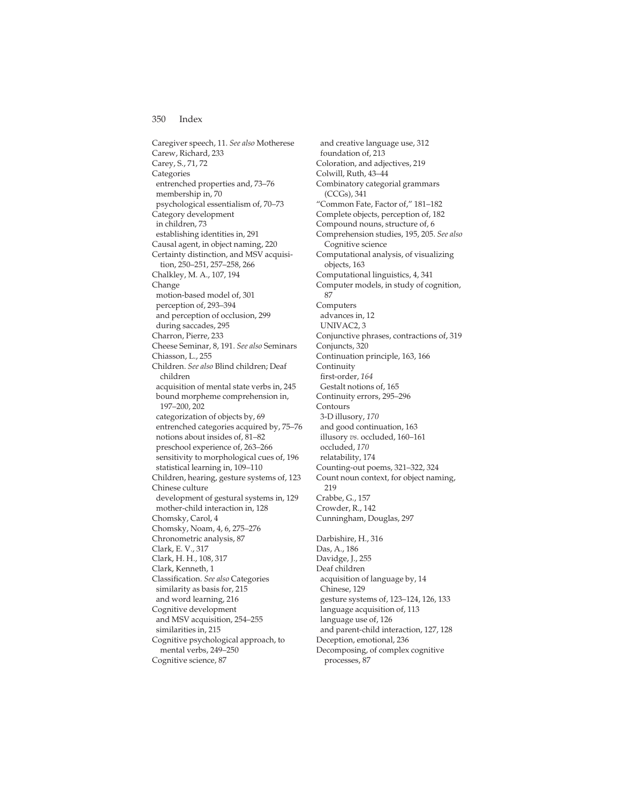Caregiver speech, 11. *See also* Motherese Carew, Richard, 233 Carey, S., 71, 72 Categories entrenched properties and, 73–76 membership in, 70 psychological essentialism of, 70–73 Category development in children, 73 establishing identities in, 291 Causal agent, in object naming, 220 Certainty distinction, and MSV acquisition, 250–251, 257–258, 266 Chalkley, M. A., 107, 194 Change motion-based model of, 301 perception of, 293–394 and perception of occlusion, 299 during saccades, 295 Charron, Pierre, 233 Cheese Seminar, 8, 191. *See also* Seminars Chiasson, L., 255 Children. *See also* Blind children; Deaf children acquisition of mental state verbs in, 245 bound morpheme comprehension in, 197–200, 202 categorization of objects by, 69 entrenched categories acquired by, 75–76 notions about insides of, 81–82 preschool experience of, 263–266 sensitivity to morphological cues of, 196 statistical learning in, 109–110 Children, hearing, gesture systems of, 123 Chinese culture development of gestural systems in, 129 mother-child interaction in, 128 Chomsky, Carol, 4 Chomsky, Noam, 4, 6, 275–276 Chronometric analysis, 87 Clark, E. V., 317 Clark, H. H., 108, 317 Clark, Kenneth, 1 Classification. *See also* Categories similarity as basis for, 215 and word learning, 216 Cognitive development and MSV acquisition, 254–255 similarities in, 215 Cognitive psychological approach, to mental verbs, 249–250 Cognitive science, 87

and creative language use, 312 foundation of, 213 Coloration, and adjectives, 219 Colwill, Ruth, 43–44 Combinatory categorial grammars (CCGs), 341 "Common Fate, Factor of," 181–182 Complete objects, perception of, 182 Compound nouns, structure of, 6 Comprehension studies, 195, 205. *See also* Cognitive science Computational analysis, of visualizing objects, 163 Computational linguistics, 4, 341 Computer models, in study of cognition, 87 Computers advances in, 12 UNIVAC2, 3 Conjunctive phrases, contractions of, 319 Conjuncts, 320 Continuation principle, 163, 166 Continuity first-order, *164* Gestalt notions of, 165 Continuity errors, 295–296 Contours 3-D illusory, *170* and good continuation, 163 illusory *vs.* occluded, 160–161 occluded, *170* relatability, 174 Counting-out poems, 321–322, 324 Count noun context, for object naming, 219 Crabbe, G., 157 Crowder, R., 142 Cunningham, Douglas, 297 Darbishire, H., 316 Das, A., 186 Davidge, J., 255 Deaf children acquisition of language by, 14 Chinese, 129 gesture systems of, 123–124, 126, 133 language acquisition of, 113 language use of, 126 and parent-child interaction, 127, 128 Deception, emotional, 236 Decomposing, of complex cognitive processes, 87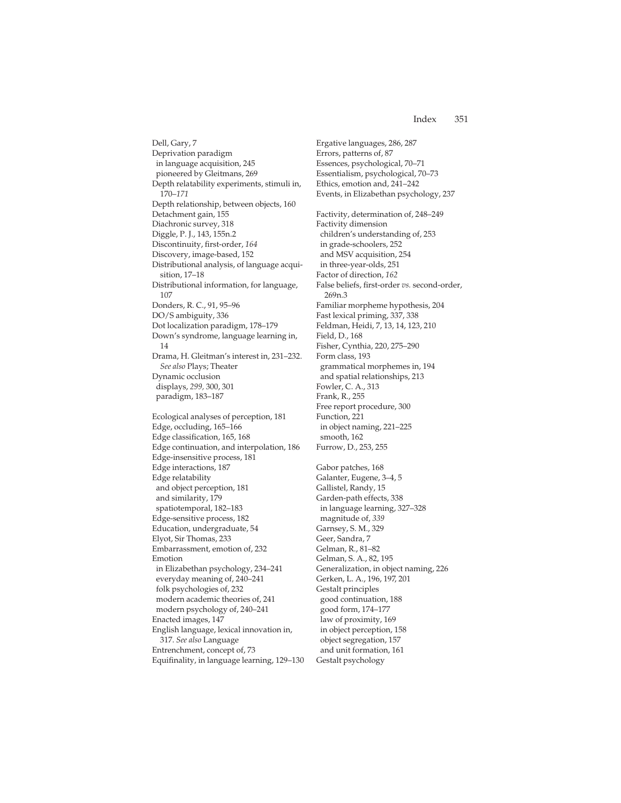Dell, Gary, 7 Deprivation paradigm in language acquisition, 245 pioneered by Gleitmans, 269 Depth relatability experiments, stimuli in, 170–*171* Depth relationship, between objects, 160 Detachment gain, 155 Diachronic survey, 318 Diggle, P. J., 143, 155n.2 Discontinuity, first-order, *164* Discovery, image-based, 152 Distributional analysis, of language acquisition, 17–18 Distributional information, for language, 107 Donders, R. C., 91, 95–96 DO/S ambiguity, 336 Dot localization paradigm, 178–179 Down's syndrome, language learning in, 14 Drama, H. Gleitman's interest in, 231–232. *See also* Plays; Theater Dynamic occlusion displays, *299,* 300, 301 paradigm, 183–187 Ecological analyses of perception, 181

Edge, occluding, 165–166 Edge classification, 165, 168 Edge continuation, and interpolation, 186 Edge-insensitive process, 181 Edge interactions, 187 Edge relatability and object perception, 181 and similarity, 179 spatiotemporal, 182–183 Edge-sensitive process, 182 Education, undergraduate, 54 Elyot, Sir Thomas, 233 Embarrassment, emotion of, 232 Emotion in Elizabethan psychology, 234–241 everyday meaning of, 240–241 folk psychologies of, 232 modern academic theories of, 241 modern psychology of, 240–241 Enacted images, 147 English language, lexical innovation in, 317. *See also* Language Entrenchment, concept of, 73 Equifinality, in language learning, 129–130 Ergative languages, 286, 287 Errors, patterns of, 87 Essences, psychological, 70–71 Essentialism, psychological, 70–73 Ethics, emotion and, 241–242 Events, in Elizabethan psychology, 237 Factivity, determination of, 248–249 Factivity dimension children's understanding of, 253 in grade-schoolers, 252 and MSV acquisition, 254 in three-year-olds, 251 Factor of direction, *162* False beliefs, first-order *vs.* second-order, 269n.3 Familiar morpheme hypothesis, 204 Fast lexical priming, 337, 338 Feldman, Heidi, 7, 13, 14, 123, 210 Field, D., 168 Fisher, Cynthia, 220, 275–290 Form class, 193 grammatical morphemes in, 194 and spatial relationships, 213 Fowler, C. A., 313 Frank, R., 255 Free report procedure, 300 Function, 221 in object naming, 221–225 smooth, 162 Furrow, D., 253, 255

Gabor patches, 168 Galanter, Eugene, 3–4, 5 Gallistel, Randy, 15 Garden-path effects, 338 in language learning, 327–328 magnitude of, *339* Garnsey, S. M., 329 Geer, Sandra, 7 Gelman, R., 81–82 Gelman, S. A., 82, 195 Generalization, in object naming, 226 Gerken, L. A., 196, 197, 201 Gestalt principles good continuation, 188 good form, 174–177 law of proximity, 169 in object perception, 158 object segregation, 157 and unit formation, 161 Gestalt psychology

## Index 351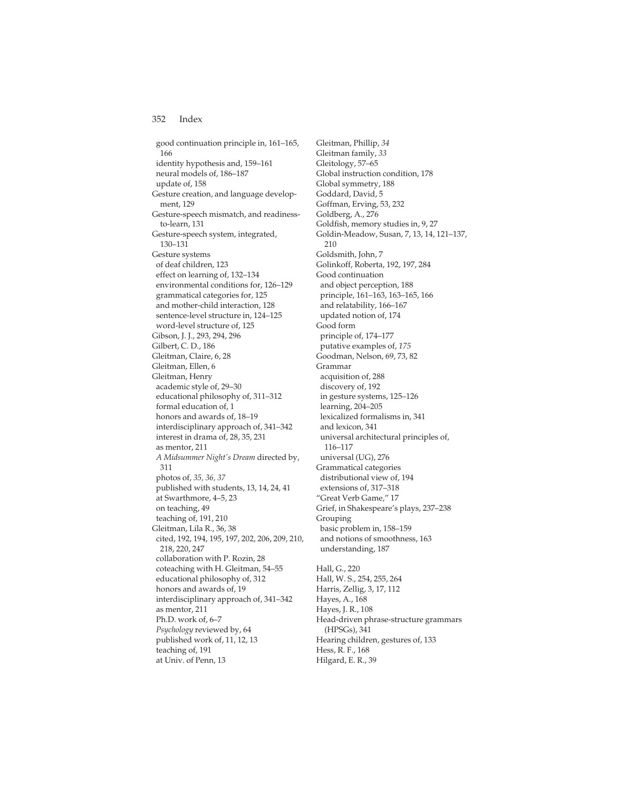good continuation principle in, 161–165, 166 identity hypothesis and, 159–161 neural models of, 186–187 update of, 158 Gesture creation, and language development, 129 Gesture-speech mismatch, and readinessto-learn, 131 Gesture-speech system, integrated, 130–131 Gesture systems of deaf children, 123 effect on learning of, 132–134 environmental conditions for, 126–129 grammatical categories for, 125 and mother-child interaction, 128 sentence-level structure in, 124–125 word-level structure of, 125 Gibson, J. J., 293, 294, 296 Gilbert, C. D., 186 Gleitman, Claire, 6, 28 Gleitman, Ellen, 6 Gleitman, Henry academic style of, 29–30 educational philosophy of, 311–312 formal education of, 1 honors and awards of, 18–19 interdisciplinary approach of, 341–342 interest in drama of, 28, 35, 231 as mentor, 211 *A Midsummer Night's Dream* directed by, 311 photos of, *35, 36, 37* published with students, 13, 14, 24, 41 at Swarthmore, 4–5, 23 on teaching, 49 teaching of, 191, 210 Gleitman, Lila R., 36, 38 cited, 192, 194, 195, 197, 202, 206, 209, 210, 218, 220, 247 collaboration with P. Rozin, 28 coteaching with H. Gleitman, 54–55 educational philosophy of, 312 honors and awards of, 19 interdisciplinary approach of, 341–342 as mentor, 211 Ph.D. work of, 6–7 *Psychology* reviewed by, 64 published work of, 11, 12, 13 teaching of, 191 at Univ. of Penn, 13

Gleitman, Phillip, *34* Gleitman family, *33* Gleitology, 57–65 Global instruction condition, 178 Global symmetry, 188 Goddard, David, 5 Goffman, Erving, 53, 232 Goldberg, A., 276 Goldfish, memory studies in, 9, 27 Goldin-Meadow, Susan, 7, 13, 14, 121–137, 210 Goldsmith, John, 7 Golinkoff, Roberta, 192, 197, 284 Good continuation and object perception, 188 principle, 161–163, 163–165, 166 and relatability, 166–167 updated notion of, 174 Good form principle of, 174–177 putative examples of, *175* Goodman, Nelson, 69, 73, 82 Grammar acquisition of, 288 discovery of, 192 in gesture systems, 125–126 learning, 204–205 lexicalized formalisms in, 341 and lexicon, 341 universal architectural principles of, 116–117 universal (UG), 276 Grammatical categories distributional view of, 194 extensions of, 317–318 "Great Verb Game," 17 Grief, in Shakespeare's plays, 237–238 Grouping basic problem in, 158–159 and notions of smoothness, 163 understanding, 187

Hall, G., 220 Hall, W. S., 254, 255, 264 Harris, Zellig, 3, 17, 112 Hayes, A., 168 Hayes, J. R., 108 Head-driven phrase-structure grammars (HPSGs), 341 Hearing children, gestures of, 133 Hess, R. F., 168 Hilgard, E. R., 39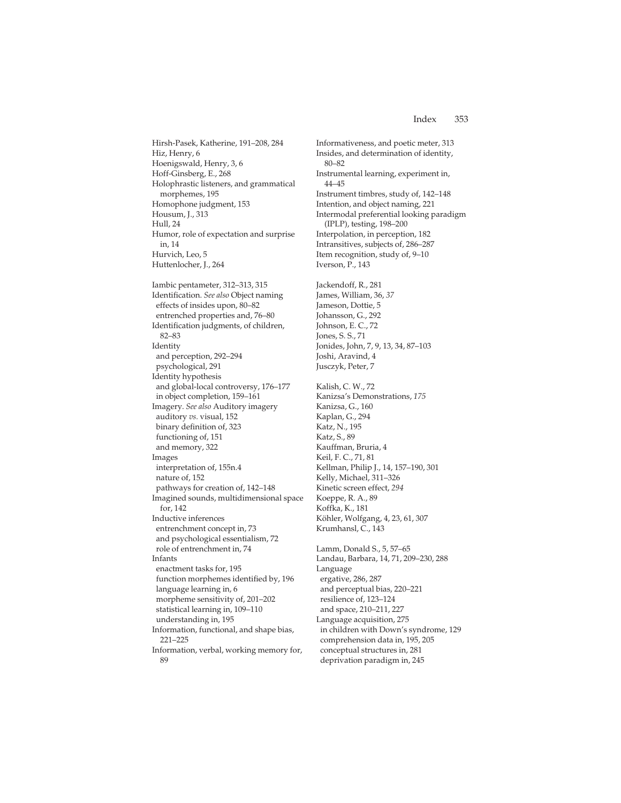Hirsh-Pasek, Katherine, 191–208, 284 Hiz, Henry, 6 Hoenigswald, Henry, 3, 6 Hoff-Ginsberg, E., 268 Holophrastic listeners, and grammatical morphemes, 195 Homophone judgment, 153 Housum, J., 313 Hull, 24 Humor, role of expectation and surprise in, 14 Hurvich, Leo, 5 Huttenlocher, J., 264 Iambic pentameter, 312–313, 315 Identification. *See also* Object naming effects of insides upon, 80–82 entrenched properties and, 76–80 Identification judgments, of children, 82–83 Identity and perception, 292–294 psychological, 291 Identity hypothesis and global-local controversy, 176–177 in object completion, 159–161 Imagery. *See also* Auditory imagery auditory *vs.* visual, 152 binary definition of, 323 functioning of, 151 and memory, 322 Images interpretation of, 155n.4 nature of, 152 pathways for creation of, 142–148 Imagined sounds, multidimensional space for, 142 Inductive inferences entrenchment concept in, 73 and psychological essentialism, 72 role of entrenchment in, 74 Infants enactment tasks for, 195 function morphemes identified by, 196 language learning in, 6 morpheme sensitivity of, 201–202 statistical learning in, 109–110 understanding in, 195 Information, functional, and shape bias, 221–225 Information, verbal, working memory for,

89

Insides, and determination of identity, 80–82 Instrumental learning, experiment in, 44–45 Instrument timbres, study of, 142–148 Intention, and object naming, 221 Intermodal preferential looking paradigm (IPLP), testing, 198–200 Interpolation, in perception, 182 Intransitives, subjects of, 286–287 Item recognition, study of, 9–10 Iverson, P., 143 Jackendoff, R., 281 James, William, 36, *37* Jameson, Dottie, 5 Johansson, G., 292 Johnson, E. C., 72 Jones, S. S., 71 Jonides, John, 7, 9, 13, 34, 87–103 Joshi, Aravind, 4 Jusczyk, Peter, 7 Kalish, C. W., 72 Kanizsa's Demonstrations, *175* Kanizsa, G., 160 Kaplan, G., 294 Katz, N., 195 Katz, S., 89 Kauffman, Bruria, 4 Keil, F. C., 71, 81 Kellman, Philip J., 14, 157–190, 301 Kelly, Michael, 311–326 Kinetic screen effect, *294* Koeppe, R. A., 89 Koffka, K., 181 Köhler, Wolfgang, 4, 23, 61, 307 Krumhansl, C., 143 Lamm, Donald S., 5, 57–65 Landau, Barbara, 14, 71, 209–230, 288 Language ergative, 286, 287 and perceptual bias, 220–221 resilience of, 123–124 and space, 210–211, 227 Language acquisition, 275 in children with Down's syndrome, 129 comprehension data in, 195, 205 conceptual structures in, 281 deprivation paradigm in, 245

Informativeness, and poetic meter, 313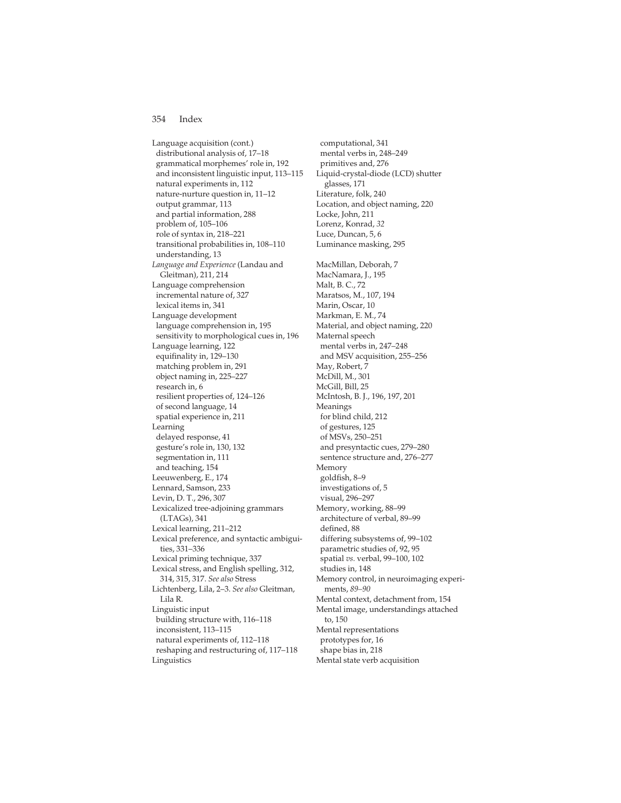Language acquisition (cont.) distributional analysis of, 17–18 grammatical morphemes' role in, 192 and inconsistent linguistic input, 113–115 natural experiments in, 112 nature-nurture question in, 11–12 output grammar, 113 and partial information, 288 problem of, 105–106 role of syntax in, 218–221 transitional probabilities in, 108–110 understanding, 13 *Language and Experience* (Landau and Gleitman), 211, 214 Language comprehension incremental nature of, 327 lexical items in, 341 Language development language comprehension in, 195 sensitivity to morphological cues in, 196 Language learning, 122 equifinality in, 129–130 matching problem in, 291 object naming in, 225–227 research in, 6 resilient properties of, 124–126 of second language, 14 spatial experience in, 211 Learning delayed response, 41 gesture's role in, 130, 132 segmentation in, 111 and teaching, 154 Leeuwenberg, E., 174 Lennard, Samson, 233 Levin, D. T., 296, 307 Lexicalized tree-adjoining grammars (LTAGs), 341 Lexical learning, 211–212 Lexical preference, and syntactic ambiguities, 331–336 Lexical priming technique, 337 Lexical stress, and English spelling, 312, 314, 315, 317. *See also* Stress Lichtenberg, Lila, 2–3. *See also* Gleitman, Lila R. Linguistic input building structure with, 116–118 inconsistent, 113–115 natural experiments of, 112–118 reshaping and restructuring of, 117–118 Linguistics

computational, 341 mental verbs in, 248–249 primitives and, 276 Liquid-crystal-diode (LCD) shutter glasses, 171 Literature, folk, 240 Location, and object naming, 220 Locke, John, 211 Lorenz, Konrad, *32* Luce, Duncan, 5, 6 Luminance masking, 295 MacMillan, Deborah, 7 MacNamara, J., 195 Malt, B. C., 72 Maratsos, M., 107, 194 Marin, Oscar, 10 Markman, E. M., 74 Material, and object naming, 220 Maternal speech mental verbs in, 247–248 and MSV acquisition, 255–256 May, Robert, 7 McDill, M., 301 McGill, Bill, 25 McIntosh, B. J., 196, 197, 201 Meanings for blind child, 212 of gestures, 125 of MSVs, 250–251 and presyntactic cues, 279–280 sentence structure and, 276–277 Memory goldfish, 8–9 investigations of, 5 visual, 296–297 Memory, working, 88–99 architecture of verbal, 89–99 defined, 88 differing subsystems of, 99–102 parametric studies of, 92, 95 spatial *vs.* verbal, 99–100, 102 studies in, 148 Memory control, in neuroimaging experiments, *89–90* Mental context, detachment from, 154 Mental image, understandings attached to, 150 Mental representations prototypes for, 16 shape bias in, 218

Mental state verb acquisition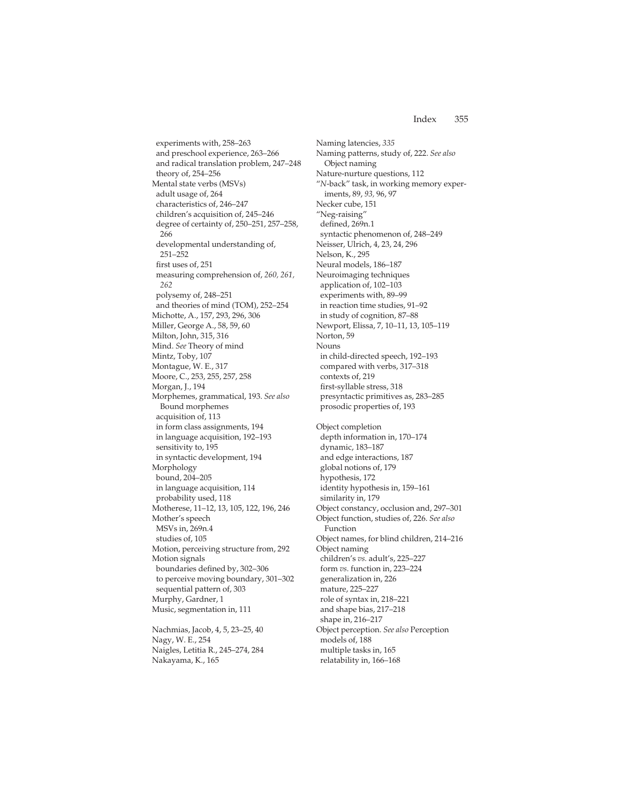experiments with, 258–263 and preschool experience, 263–266 and radical translation problem, 247–248 theory of, 254–256 Mental state verbs (MSVs) adult usage of, 264 characteristics of, 246–247 children's acquisition of, 245–246 degree of certainty of, 250–251, 257–258, 266 developmental understanding of, 251–252 first uses of, 251 measuring comprehension of, *260, 261, 262* polysemy of, 248–251 and theories of mind (TOM), 252–254 Michotte, A., 157, 293, 296, 306 Miller, George A., 58, 59, 60 Milton, John, 315, 316 Mind. *See* Theory of mind Mintz, Toby, 107 Montague, W. E., 317 Moore, C., 253, 255, 257, 258 Morgan, J., 194 Morphemes, grammatical, 193. *See also* Bound morphemes acquisition of, 113 in form class assignments, 194 in language acquisition, 192–193 sensitivity to, 195 in syntactic development, 194 Morphology bound, 204–205 in language acquisition, 114 probability used, 118 Motherese, 11–12, 13, 105, 122, 196, 246 Mother's speech MSVs in, 269n.4 studies of, 105 Motion, perceiving structure from, 292 Motion signals boundaries defined by, 302–306 to perceive moving boundary, 301–302 sequential pattern of, 303 Murphy, Gardner, 1 Music, segmentation in, 111 Nachmias, Jacob, 4, 5, 23–25, 40 Nagy, W. E., 254

Naigles, Letitia R., 245–274, 284

Nakayama, K., 165

Naming latencies, *335* Naming patterns, study of, 222. *See also* Object naming Nature-nurture questions, 112 "*N*-back" task, in working memory experiments, 89, *93,* 96, 97 Necker cube, 151 "Neg-raising" defined, 269n.1 syntactic phenomenon of, 248–249 Neisser, Ulrich, 4, 23, 24, 296 Nelson, K., 295 Neural models, 186–187 Neuroimaging techniques application of, 102–103 experiments with, 89–99 in reaction time studies, 91–92 in study of cognition, 87–88 Newport, Elissa, 7, 10–11, 13, 105–119 Norton, 59 Nouns in child-directed speech, 192–193 compared with verbs, 317–318 contexts of, 219 first-syllable stress, 318 presyntactic primitives as, 283–285 prosodic properties of, 193 Object completion depth information in, 170–174 dynamic, 183–187 and edge interactions, 187 global notions of, 179 hypothesis, 172 identity hypothesis in, 159–161 similarity in, 179 Object constancy, occlusion and, 297–301 Object function, studies of, 226. *See also* Function Object names, for blind children, 214–216 Object naming children's *vs.* adult's, 225–227 form *vs.* function in, 223–224 generalization in, 226 mature, 225–227 role of syntax in, 218–221 and shape bias, 217–218 shape in, 216–217 Object perception. *See also* Perception models of, 188 multiple tasks in, 165 relatability in, 166–168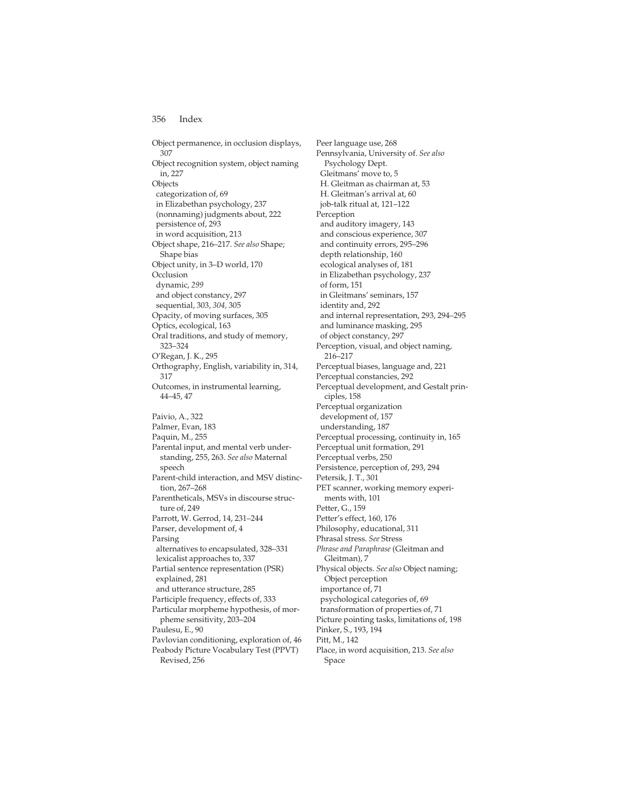Object permanence, in occlusion displays, 307 Object recognition system, object naming in, 227 Objects categorization of, 69 in Elizabethan psychology, 237 (nonnaming) judgments about, 222 persistence of, 293 in word acquisition, 213 Object shape, 216–217. *See also* Shape; Shape bias Object unity, in 3–D world, 170 **Occlusion** dynamic, *299* and object constancy, 297 sequential, 303, *304,* 305 Opacity, of moving surfaces, 305 Optics, ecological, 163 Oral traditions, and study of memory, 323–324 O'Regan, J. K., 295 Orthography, English, variability in, 314, 317 Outcomes, in instrumental learning, 44–45, 47 Paivio, A., 322 Palmer, Evan, 183 Paquin, M., 255 Parental input, and mental verb understanding, 255, 263. *See also* Maternal speech Parent-child interaction, and MSV distinction, 267–268 Parentheticals, MSVs in discourse structure of, 249 Parrott, W. Gerrod, 14, 231–244 Parser, development of, 4 Parsing alternatives to encapsulated, 328–331 lexicalist approaches to, 337 Partial sentence representation (PSR) explained, 281 and utterance structure, 285 Participle frequency, effects of, 333 Particular morpheme hypothesis, of morpheme sensitivity, 203–204 Paulesu, E., 90 Pavlovian conditioning, exploration of, 46 Peabody Picture Vocabulary Test (PPVT)

Revised, 256

Peer language use, 268 Pennsylvania, University of. *See also* Psychology Dept. Gleitmans' move to, 5 H. Gleitman as chairman at, 53 H. Gleitman's arrival at, 60 job-talk ritual at, 121–122 Perception and auditory imagery, 143 and conscious experience, 307 and continuity errors, 295–296 depth relationship, 160 ecological analyses of, 181 in Elizabethan psychology, 237 of form, 151 in Gleitmans' seminars, 157 identity and, 292 and internal representation, 293, 294–295 and luminance masking, 295 of object constancy, 297 Perception, visual, and object naming, 216–217 Perceptual biases, language and, 221 Perceptual constancies, 292 Perceptual development, and Gestalt principles, 158 Perceptual organization development of, 157 understanding, 187 Perceptual processing, continuity in, 165 Perceptual unit formation, 291 Perceptual verbs, 250 Persistence, perception of, 293, 294 Petersik, J. T., 301 PET scanner, working memory experiments with, 101 Petter, G., 159 Petter's effect, 160, 176 Philosophy, educational, 311 Phrasal stress. *See* Stress *Phrase and Paraphrase* (Gleitman and Gleitman), 7 Physical objects. *See also* Object naming; Object perception importance of, 71 psychological categories of, 69 transformation of properties of, 71 Picture pointing tasks, limitations of, 198 Pinker, S., 193, 194 Pitt, M., 142 Place, in word acquisition, 213. *See also* Space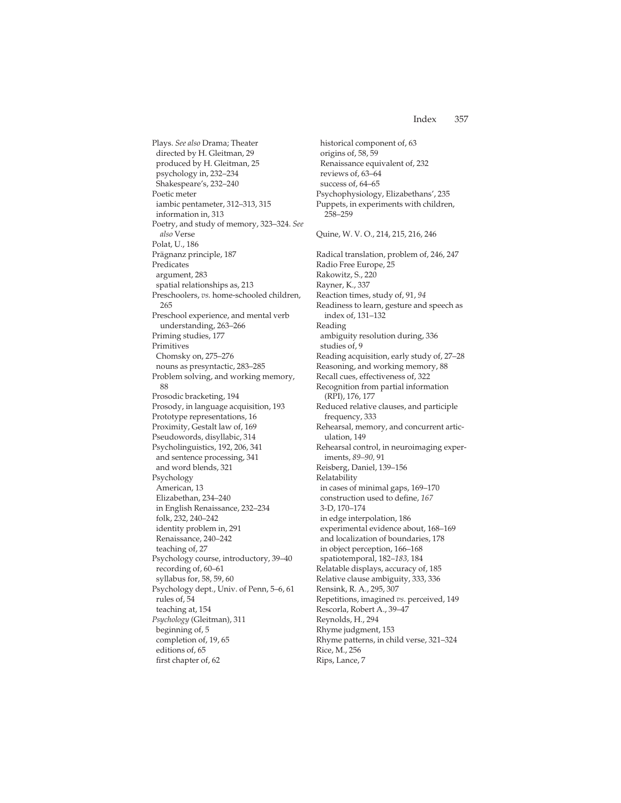Plays. *See also* Drama; Theater directed by H. Gleitman, 29 produced by H. Gleitman, 25 psychology in, 232–234 Shakespeare's, 232–240 Poetic meter iambic pentameter, 312–313, 315 information in, 313 Poetry, and study of memory, 323–324. *See also* Verse Polat, U., 186 Prägnanz principle, 187 Predicates argument, 283 spatial relationships as, 213 Preschoolers, *vs.* home-schooled children, 265 Preschool experience, and mental verb understanding, 263–266 Priming studies, 177 Primitives Chomsky on, 275–276 nouns as presyntactic, 283–285 Problem solving, and working memory, 88 Prosodic bracketing, 194 Prosody, in language acquisition, 193 Prototype representations, 16 Proximity, Gestalt law of, 169 Pseudowords, disyllabic, 314 Psycholinguistics, 192, 206, 341 and sentence processing, 341 and word blends, 321 Psychology American, 13 Elizabethan, 234–240 in English Renaissance, 232–234 folk, 232, 240–242 identity problem in, 291 Renaissance, 240–242 teaching of, 27 Psychology course, introductory, 39–40 recording of, 60–61 syllabus for, 58, 59, 60 Psychology dept., Univ. of Penn, 5–6, 61 rules of, 54 teaching at, 154 *Psychology* (Gleitman), 311 beginning of, 5 completion of, 19, 65 editions of, 65 first chapter of, 62

historical component of, 63 origins of, 58, 59 Renaissance equivalent of, 232 reviews of, 63–64 success of, 64–65 Psychophysiology, Elizabethans', 235 Puppets, in experiments with children, 258–259 Quine, W. V. O., 214, 215, 216, 246 Radical translation, problem of, 246, 247 Radio Free Europe, 25 Rakowitz, S., 220 Rayner, K., 337 Reaction times, study of, 91, *94* Readiness to learn, gesture and speech as index of, 131–132 Reading ambiguity resolution during, 336 studies of, 9 Reading acquisition, early study of, 27–28 Reasoning, and working memory, 88 Recall cues, effectiveness of, 322 Recognition from partial information (RPI), 176, 177 Reduced relative clauses, and participle frequency, 333 Rehearsal, memory, and concurrent articulation, 149 Rehearsal control, in neuroimaging experiments, *89–90,* 91 Reisberg, Daniel, 139–156 Relatability in cases of minimal gaps, 169–170 construction used to define, *167* 3-D, 170–174 in edge interpolation, 186 experimental evidence about, 168–169 and localization of boundaries, 178 in object perception, 166–168 spatiotemporal, 182–*183,* 184 Relatable displays, accuracy of, 185 Relative clause ambiguity, 333, 336 Rensink, R. A., 295, 307 Repetitions, imagined *vs.* perceived, 149 Rescorla, Robert A., 39–47 Reynolds, H., 294 Rhyme judgment, 153 Rhyme patterns, in child verse, 321–324 Rice, M., 256 Rips, Lance, 7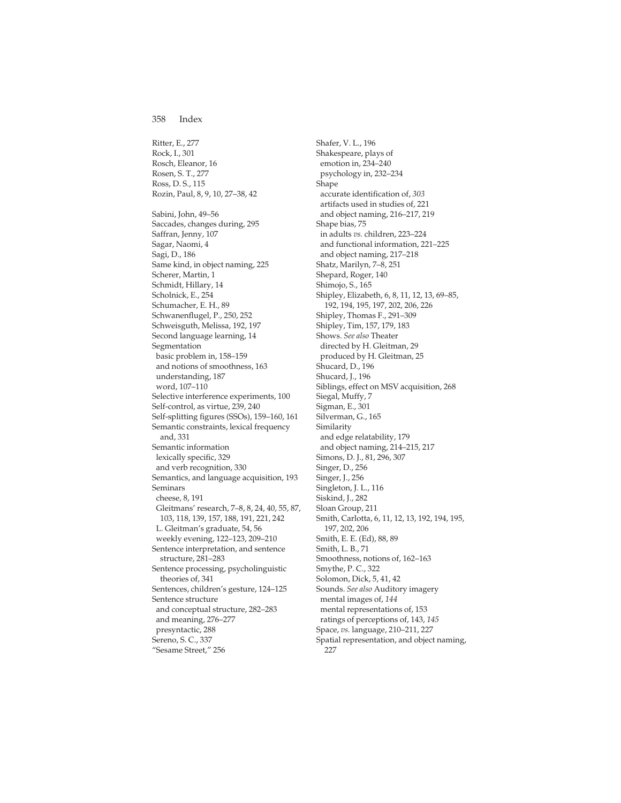Ritter, E., 277 Rock, I., 301 Rosch, Eleanor, 16 Rosen, S. T., 277 Ross, D. S., 115 Rozin, Paul, 8, 9, 10, 27–38, 42 Sabini, John, 49–56 Saccades, changes during, 295 Saffran, Jenny, 107 Sagar, Naomi, 4 Sagi, D., 186 Same kind, in object naming, 225 Scherer, Martin, 1 Schmidt, Hillary, 14 Scholnick, E., 254 Schumacher, E. H., 89 Schwanenflugel, P., 250, 252 Schweisguth, Melissa, 192, 197 Second language learning, 14 Segmentation basic problem in, 158–159 and notions of smoothness, 163 understanding, 187 word, 107–110 Selective interference experiments, 100 Self-control, as virtue, 239, 240 Self-splitting figures (SSOs), 159–160, 161 Semantic constraints, lexical frequency and, 331 Semantic information lexically specific, 329 and verb recognition, 330 Semantics, and language acquisition, 193 Seminars cheese, 8, 191 Gleitmans' research, 7–8, 8, 24, 40, 55, 87, 103, 118, 139, 157, 188, 191, 221, 242 L. Gleitman's graduate, 54, 56 weekly evening, 122–123, 209–210 Sentence interpretation, and sentence structure, 281–283 Sentence processing, psycholinguistic theories of, 341 Sentences, children's gesture, 124–125 Sentence structure and conceptual structure, 282–283 and meaning, 276–277 presyntactic, 288 Sereno, S. C., 337 "Sesame Street," 256

Shafer, V. L., 196 Shakespeare, plays of emotion in, 234–240 psychology in, 232–234 Shape accurate identification of, *303* artifacts used in studies of, 221 and object naming, 216–217, 219 Shape bias, 75 in adults *vs.* children, 223–224 and functional information, 221–225 and object naming, 217–218 Shatz, Marilyn, 7–8, 251 Shepard, Roger, 140 Shimojo, S., 165 Shipley, Elizabeth, 6, 8, 11, 12, 13, 69–85, 192, 194, 195, 197, 202, 206, 226 Shipley, Thomas F., 291–309 Shipley, Tim, 157, 179, 183 Shows. *See also* Theater directed by H. Gleitman, 29 produced by H. Gleitman, 25 Shucard, D., 196 Shucard, J., 196 Siblings, effect on MSV acquisition, 268 Siegal, Muffy, 7 Sigman, E., 301 Silverman, G., 165 Similarity and edge relatability, 179 and object naming, 214–215, 217 Simons, D. J., 81, 296, 307 Singer, D., 256 Singer, J., 256 Singleton, J. L., 116 Siskind, J., 282 Sloan Group, 211 Smith, Carlotta, 6, 11, 12, 13, 192, 194, 195, 197, 202, 206 Smith, E. E. (Ed), 88, 89 Smith, L. B., 71 Smoothness, notions of, 162–163 Smythe, P. C., 322 Solomon, Dick, 5, 41, 42 Sounds. *See also* Auditory imagery mental images of, *144* mental representations of, 153 ratings of perceptions of, 143, *145* Space, *vs.* language, 210–211, 227 Spatial representation, and object naming, 227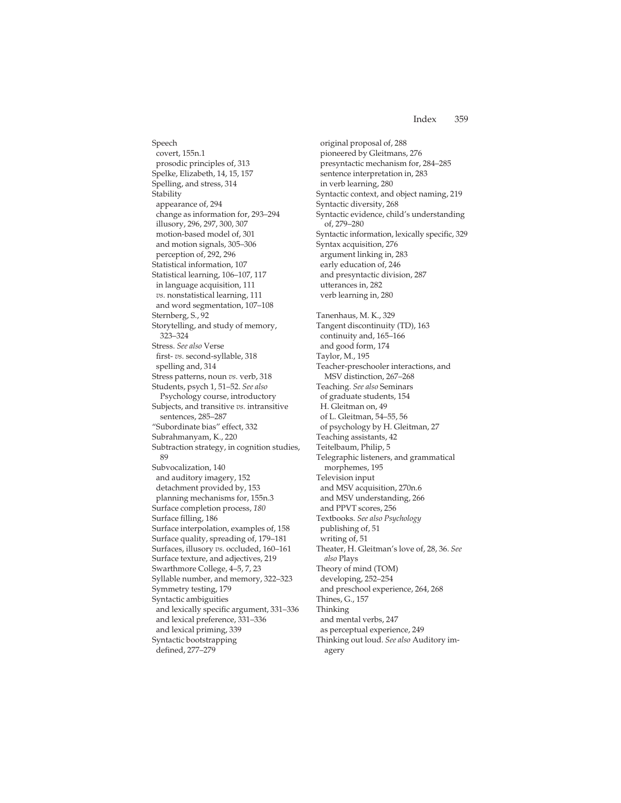Speech covert, 155n.1 prosodic principles of, 313 Spelke, Elizabeth, 14, 15, 157 Spelling, and stress, 314 Stability appearance of, 294 change as information for, 293–294 illusory, 296, 297, 300, 307 motion-based model of, 301 and motion signals, 305–306 perception of, 292, 296 Statistical information, 107 Statistical learning, 106–107, 117 in language acquisition, 111 *vs.* nonstatistical learning, 111 and word segmentation, 107–108 Sternberg, S., 92 Storytelling, and study of memory, 323–324 Stress. *See also* Verse first- *vs.* second-syllable, 318 spelling and, 314 Stress patterns, noun *vs.* verb, 318 Students, psych 1, 51–52. *See also* Psychology course, introductory Subjects, and transitive *vs.* intransitive sentences, 285–287 "Subordinate bias" effect, 332 Subrahmanyam, K., 220 Subtraction strategy, in cognition studies, 89 Subvocalization, 140 and auditory imagery, 152 detachment provided by, 153 planning mechanisms for, 155n.3 Surface completion process, *180* Surface filling, 186 Surface interpolation, examples of, 158 Surface quality, spreading of, 179–181 Surfaces, illusory *vs.* occluded, 160–161 Surface texture, and adjectives, 219 Swarthmore College, 4–5, 7, 23 Syllable number, and memory, 322–323 Symmetry testing, 179 Syntactic ambiguities and lexically specific argument, 331–336 and lexical preference, 331–336 and lexical priming, 339 Syntactic bootstrapping defined, 277–279

original proposal of, 288 pioneered by Gleitmans, 276 presyntactic mechanism for, 284–285 sentence interpretation in, 283 in verb learning, 280 Syntactic context, and object naming, 219 Syntactic diversity, 268 Syntactic evidence, child's understanding of, 279–280 Syntactic information, lexically specific, 329 Syntax acquisition, 276 argument linking in, 283 early education of, 246 and presyntactic division, 287 utterances in, 282 verb learning in, 280 Tanenhaus, M. K., 329 Tangent discontinuity (TD), 163 continuity and, 165–166 and good form, 174 Taylor, M., 195 Teacher-preschooler interactions, and MSV distinction, 267–268 Teaching. *See also* Seminars of graduate students, 154 H. Gleitman on, 49 of L. Gleitman, 54–55, 56 of psychology by H. Gleitman, 27 Teaching assistants, 42 Teitelbaum, Philip, 5 Telegraphic listeners, and grammatical morphemes, 195 Television input and MSV acquisition, 270n.6 and MSV understanding, 266 and PPVT scores, 256 Textbooks. *See also Psychology* publishing of, 51 writing of, 51 Theater, H. Gleitman's love of, 28, 36. *See also* Plays Theory of mind (TOM) developing, 252–254 and preschool experience, 264, 268 Thines, G., 157 Thinking and mental verbs, 247 as perceptual experience, 249 Thinking out loud. *See also* Auditory imagery